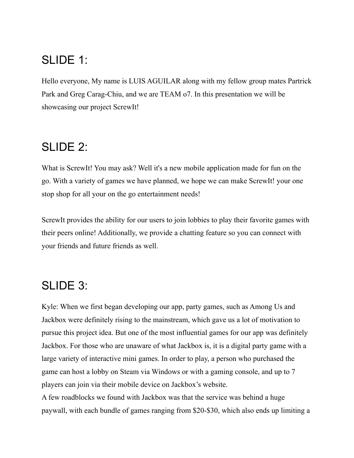## SLIDE 1:

Hello everyone, My name is LUIS AGUILAR along with my fellow group mates Partrick Park and Greg Carag-Chiu, and we are TEAM o7. In this presentation we will be showcasing our project ScrewIt!

## SLIDE 2:

What is ScrewIt! You may ask? Well it's a new mobile application made for fun on the go. With a variety of games we have planned, we hope we can make ScrewIt! your one stop shop for all your on the go entertainment needs!

ScrewIt provides the ability for our users to join lobbies to play their favorite games with their peers online! Additionally, we provide a chatting feature so you can connect with your friends and future friends as well.

## SLIDE 3:

Kyle: When we first began developing our app, party games, such as Among Us and Jackbox were definitely rising to the mainstream, which gave us a lot of motivation to pursue this project idea. But one of the most influential games for our app was definitely Jackbox. For those who are unaware of what Jackbox is, it is a digital party game with a large variety of interactive mini games. In order to play, a person who purchased the game can host a lobby on Steam via Windows or with a gaming console, and up to 7 players can join via their mobile device on Jackbox's website.

A few roadblocks we found with Jackbox was that the service was behind a huge paywall, with each bundle of games ranging from \$20-\$30, which also ends up limiting a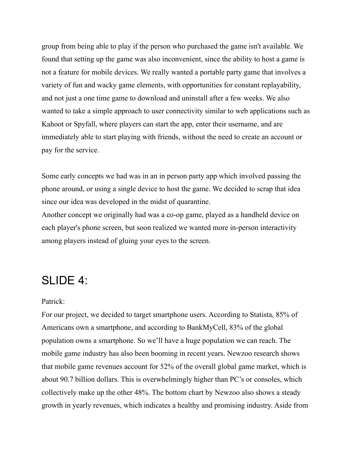group from being able to play if the person who purchased the game isn't available. We found that setting up the game was also inconvenient, since the ability to host a game is not a feature for mobile devices. We really wanted a portable party game that involves a variety of fun and wacky game elements, with opportunities for constant replayability, and not just a one time game to download and uninstall after a few weeks. We also wanted to take a simple approach to user connectivity similar to web applications such as Kahoot or Spyfall, where players can start the app, enter their username, and are immediately able to start playing with friends, without the need to create an account or pay for the service.

Some early concepts we had was in an in person party app which involved passing the phone around, or using a single device to host the game. We decided to scrap that idea since our idea was developed in the midst of quarantine.

Another concept we originally had was a co-op game, played as a handheld device on each player's phone screen, but soon realized we wanted more in-person interactivity among players instead of gluing your eyes to the screen.

### SLIDE 4:

#### Patrick:

For our project, we decided to target smartphone users. According to Statista, 85% of Americans own a smartphone, and according to BankMyCell, 83% of the global population owns a smartphone. So we'll have a huge population we can reach. The mobile game industry has also been booming in recent years. Newzoo research shows that mobile game revenues account for 52% of the overall global game market, which is about 90.7 billion dollars. This is overwhelmingly higher than PC's or consoles, which collectively make up the other 48%. The bottom chart by Newzoo also shows a steady growth in yearly revenues, which indicates a healthy and promising industry. Aside from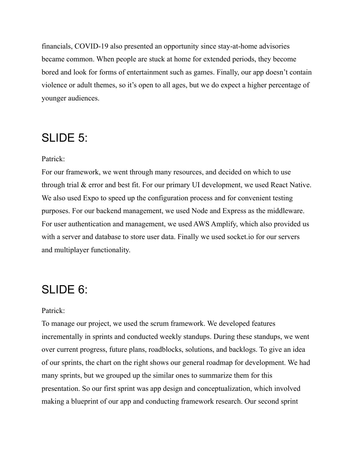financials, COVID-19 also presented an opportunity since stay-at-home advisories became common. When people are stuck at home for extended periods, they become bored and look for forms of entertainment such as games. Finally, our app doesn't contain violence or adult themes, so it's open to all ages, but we do expect a higher percentage of younger audiences.

### SLIDE 5:

#### Patrick:

For our framework, we went through many resources, and decided on which to use through trial & error and best fit. For our primary UI development, we used React Native. We also used Expo to speed up the configuration process and for convenient testing purposes. For our backend management, we used Node and Express as the middleware. For user authentication and management, we used AWS Amplify, which also provided us with a server and database to store user data. Finally we used socket.io for our servers and multiplayer functionality.

### SLIDE 6:

#### Patrick:

To manage our project, we used the scrum framework. We developed features incrementally in sprints and conducted weekly standups. During these standups, we went over current progress, future plans, roadblocks, solutions, and backlogs. To give an idea of our sprints, the chart on the right shows our general roadmap for development. We had many sprints, but we grouped up the similar ones to summarize them for this presentation. So our first sprint was app design and conceptualization, which involved making a blueprint of our app and conducting framework research. Our second sprint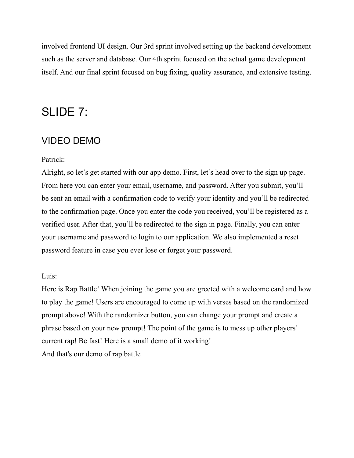involved frontend UI design. Our 3rd sprint involved setting up the backend development such as the server and database. Our 4th sprint focused on the actual game development itself. And our final sprint focused on bug fixing, quality assurance, and extensive testing.

### SLIDE 7:

#### VIDEO DEMO

#### Patrick:

Alright, so let's get started with our app demo. First, let's head over to the sign up page. From here you can enter your email, username, and password. After you submit, you'll be sent an email with a confirmation code to verify your identity and you'll be redirected to the confirmation page. Once you enter the code you received, you'll be registered as a verified user. After that, you'll be redirected to the sign in page. Finally, you can enter your username and password to login to our application. We also implemented a reset password feature in case you ever lose or forget your password.

#### Luis:

Here is Rap Battle! When joining the game you are greeted with a welcome card and how to play the game! Users are encouraged to come up with verses based on the randomized prompt above! With the randomizer button, you can change your prompt and create a phrase based on your new prompt! The point of the game is to mess up other players' current rap! Be fast! Here is a small demo of it working! And that's our demo of rap battle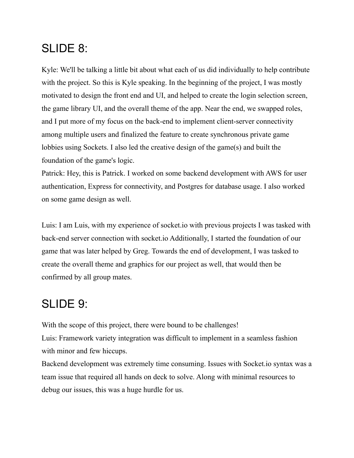## SLIDE 8:

Kyle: We'll be talking a little bit about what each of us did individually to help contribute with the project. So this is Kyle speaking. In the beginning of the project, I was mostly motivated to design the front end and UI, and helped to create the login selection screen, the game library UI, and the overall theme of the app. Near the end, we swapped roles, and I put more of my focus on the back-end to implement client-server connectivity among multiple users and finalized the feature to create synchronous private game lobbies using Sockets. I also led the creative design of the game(s) and built the foundation of the game's logic.

Patrick: Hey, this is Patrick. I worked on some backend development with AWS for user authentication, Express for connectivity, and Postgres for database usage. I also worked on some game design as well.

Luis: I am Luis, with my experience of socket.io with previous projects I was tasked with back-end server connection with socket.io Additionally, I started the foundation of our game that was later helped by Greg. Towards the end of development, I was tasked to create the overall theme and graphics for our project as well, that would then be confirmed by all group mates.

## SLIDE 9:

With the scope of this project, there were bound to be challenges! Luis: Framework variety integration was difficult to implement in a seamless fashion with minor and few hiccups.

Backend development was extremely time consuming. Issues with Socket.io syntax was a team issue that required all hands on deck to solve. Along with minimal resources to debug our issues, this was a huge hurdle for us.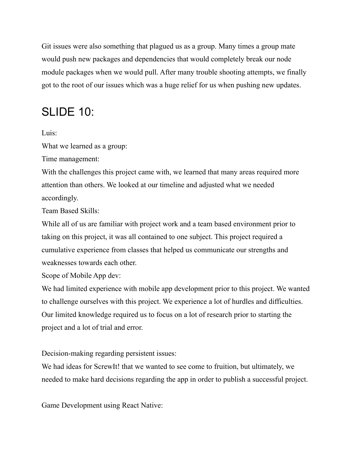Git issues were also something that plagued us as a group. Many times a group mate would push new packages and dependencies that would completely break our node module packages when we would pull. After many trouble shooting attempts, we finally got to the root of our issues which was a huge relief for us when pushing new updates.

## SLIDE 10:

Luis:

What we learned as a group:

Time management:

With the challenges this project came with, we learned that many areas required more attention than others. We looked at our timeline and adjusted what we needed accordingly.

Team Based Skills:

While all of us are familiar with project work and a team based environment prior to taking on this project, it was all contained to one subject. This project required a cumulative experience from classes that helped us communicate our strengths and weaknesses towards each other.

Scope of Mobile App dev:

We had limited experience with mobile app development prior to this project. We wanted to challenge ourselves with this project. We experience a lot of hurdles and difficulties. Our limited knowledge required us to focus on a lot of research prior to starting the project and a lot of trial and error.

Decision-making regarding persistent issues:

We had ideas for ScrewIt! that we wanted to see come to fruition, but ultimately, we needed to make hard decisions regarding the app in order to publish a successful project.

Game Development using React Native: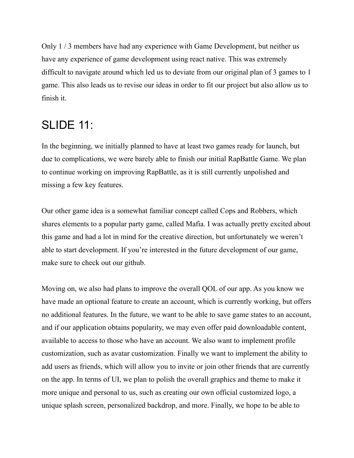Only 1 / 3 members have had any experience with Game Development, but neither us have any experience of game development using react native. This was extremely difficult to navigate around which led us to deviate from our original plan of 3 games to 1 game. This also leads us to revise our ideas in order to fit our project but also allow us to finish it.

## SLIDE 11:

In the beginning, we initially planned to have at least two games ready for launch, but due to complications, we were barely able to finish our initial RapBattle Game. We plan to continue working on improving RapBattle, as it is still currently unpolished and missing a few key features.

Our other game idea is a somewhat familiar concept called Cops and Robbers, which shares elements to a popular party game, called Mafia. I was actually pretty excited about this game and had a lot in mind for the creative direction, but unfortunately we weren't able to start development. If you're interested in the future development of our game, make sure to check out our github.

Moving on, we also had plans to improve the overall QOL of our app. As you know we have made an optional feature to create an account, which is currently working, but offers no additional features. In the future, we want to be able to save game states to an account, and if our application obtains popularity, we may even offer paid downloadable content, available to access to those who have an account. We also want to implement profile customization, such as avatar customization. Finally we want to implement the ability to add users as friends, which will allow you to invite or join other friends that are currently on the app. In terms of UI, we plan to polish the overall graphics and theme to make it more unique and personal to us, such as creating our own official customized logo, a unique splash screen, personalized backdrop, and more. Finally, we hope to be able to